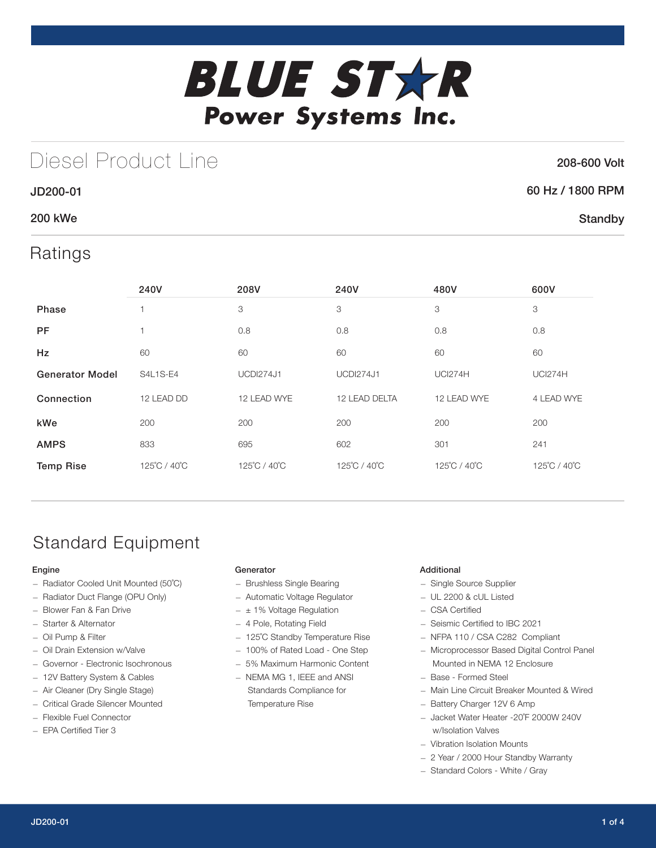

## Diesel Product Line

### 208-600 Volt

**Standby** 

### JD200-01 60 Hz / 1800 RPM

### 200 kWe

## Ratings

|                        | 240V            | 208V             | 240V             | 480V           | 600V           |
|------------------------|-----------------|------------------|------------------|----------------|----------------|
| <b>Phase</b>           |                 | 3                | 3                | 3              | 3              |
| PF                     |                 | 0.8              | 0.8              | 0.8            | 0.8            |
| Hz                     | 60              | 60               | 60               | 60             | 60             |
| <b>Generator Model</b> | <b>S4L1S-E4</b> | <b>UCDI274J1</b> | <b>UCDI274J1</b> | <b>UCI274H</b> | <b>UCI274H</b> |
| Connection             | 12 LEAD DD      | 12 LEAD WYE      | 12 LEAD DELTA    | 12 LEAD WYE    |                |
| kWe                    | 200             | 200              | 200              | 200            | 200            |
| <b>AMPS</b>            | 833             | 695              | 602              | 301            | 241            |
| <b>Temp Rise</b>       | 125°C / 40°C    | 125°C / 40°C     | 125°C / 40°C     | 125°C / 40°C   | 125°C / 40°C   |

## Standard Equipment

#### Engine

- Radiator Cooled Unit Mounted (50˚C)
- Radiator Duct Flange (OPU Only)
- Blower Fan & Fan Drive
- Starter & Alternator
- Oil Pump & Filter
- Oil Drain Extension w/Valve
- Governor Electronic Isochronous
- 12V Battery System & Cables
- Air Cleaner (Dry Single Stage)
- Critical Grade Silencer Mounted
- Flexible Fuel Connector
- EPA Certified Tier 3

#### **Generator**

- Brushless Single Bearing
- Automatic Voltage Regulator
- $\pm$  1% Voltage Regulation
- 4 Pole, Rotating Field
- 125˚C Standby Temperature Rise
- 100% of Rated Load One Step
- 5% Maximum Harmonic Content
- NEMA MG 1, IEEE and ANSI Standards Compliance for Temperature Rise

#### Additional

- Single Source Supplier
- UL 2200 & cUL Listed
- CSA Certified
- Seismic Certified to IBC 2021
- NFPA 110 / CSA C282 Compliant
- Microprocessor Based Digital Control Panel Mounted in NEMA 12 Enclosure
- Base Formed Steel
- Main Line Circuit Breaker Mounted & Wired
- Battery Charger 12V 6 Amp
- Jacket Water Heater -20˚F 2000W 240V w/Isolation Valves
- Vibration Isolation Mounts
- 2 Year / 2000 Hour Standby Warranty
- Standard Colors White / Gray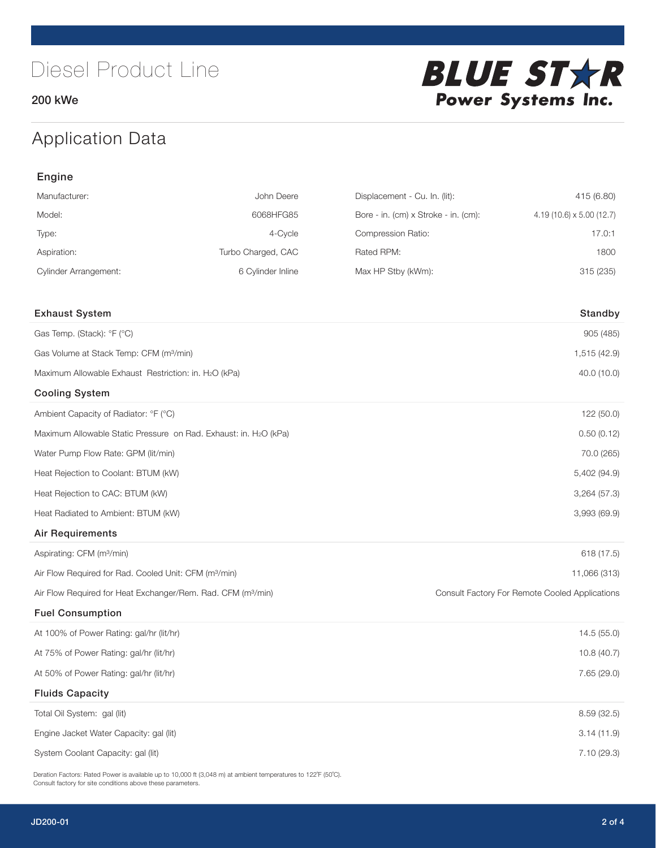200 kWe



## Application Data

| Engine                                                                   |                    |                                      |                                                |  |  |
|--------------------------------------------------------------------------|--------------------|--------------------------------------|------------------------------------------------|--|--|
| Manufacturer:                                                            | John Deere         | Displacement - Cu. In. (lit):        | 415 (6.80)                                     |  |  |
| Model:                                                                   | 6068HFG85          | Bore - in. (cm) x Stroke - in. (cm): | 4.19 (10.6) x 5.00 (12.7)                      |  |  |
| Type:                                                                    | 4-Cycle            | Compression Ratio:                   | 17.0:1                                         |  |  |
| Aspiration:                                                              | Turbo Charged, CAC | Rated RPM:                           | 1800                                           |  |  |
| <b>Cylinder Arrangement:</b>                                             | 6 Cylinder Inline  | Max HP Stby (kWm):                   | 315 (235)                                      |  |  |
| <b>Exhaust System</b>                                                    |                    |                                      | Standby                                        |  |  |
| Gas Temp. (Stack): °F (°C)                                               |                    |                                      | 905 (485)                                      |  |  |
| Gas Volume at Stack Temp: CFM (m <sup>3</sup> /min)                      |                    |                                      | 1,515 (42.9)                                   |  |  |
| Maximum Allowable Exhaust Restriction: in. H2O (kPa)                     |                    |                                      | 40.0 (10.0)                                    |  |  |
| <b>Cooling System</b>                                                    |                    |                                      |                                                |  |  |
| Ambient Capacity of Radiator: °F (°C)                                    |                    |                                      | 122 (50.0)                                     |  |  |
| Maximum Allowable Static Pressure on Rad. Exhaust: in. H2O (kPa)         |                    |                                      | 0.50(0.12)                                     |  |  |
| Water Pump Flow Rate: GPM (lit/min)                                      |                    |                                      | 70.0 (265)                                     |  |  |
| Heat Rejection to Coolant: BTUM (kW)                                     |                    |                                      | 5,402 (94.9)                                   |  |  |
| Heat Rejection to CAC: BTUM (kW)                                         |                    |                                      | 3,264 (57.3)                                   |  |  |
| Heat Radiated to Ambient: BTUM (kW)                                      |                    |                                      | 3,993 (69.9)                                   |  |  |
| <b>Air Requirements</b>                                                  |                    |                                      |                                                |  |  |
| Aspirating: CFM (m <sup>3</sup> /min)                                    |                    |                                      | 618 (17.5)                                     |  |  |
| Air Flow Required for Rad. Cooled Unit: CFM (m <sup>3</sup> /min)        |                    |                                      | 11,066 (313)                                   |  |  |
| Air Flow Required for Heat Exchanger/Rem. Rad. CFM (m <sup>3</sup> /min) |                    |                                      | Consult Factory For Remote Cooled Applications |  |  |
| <b>Fuel Consumption</b>                                                  |                    |                                      |                                                |  |  |
| At 100% of Power Rating: gal/hr (lit/hr)                                 |                    |                                      | 14.5 (55.0)                                    |  |  |
| At 75% of Power Rating: gal/hr (lit/hr)                                  |                    |                                      | 10.8 (40.7)                                    |  |  |
| At 50% of Power Rating: gal/hr (lit/hr)                                  |                    |                                      | 7.65 (29.0)                                    |  |  |
| <b>Fluids Capacity</b>                                                   |                    |                                      |                                                |  |  |
| Total Oil System: gal (lit)                                              |                    |                                      | 8.59 (32.5)                                    |  |  |
| Engine Jacket Water Capacity: gal (lit)                                  |                    |                                      | 3.14(11.9)                                     |  |  |
| System Coolant Capacity: gal (lit)                                       |                    |                                      | 7.10 (29.3)                                    |  |  |

Deration Factors: Rated Power is available up to 10,000 ft (3,048 m) at ambient temperatures to 122°F (50°C). Consult factory for site conditions above these parameters.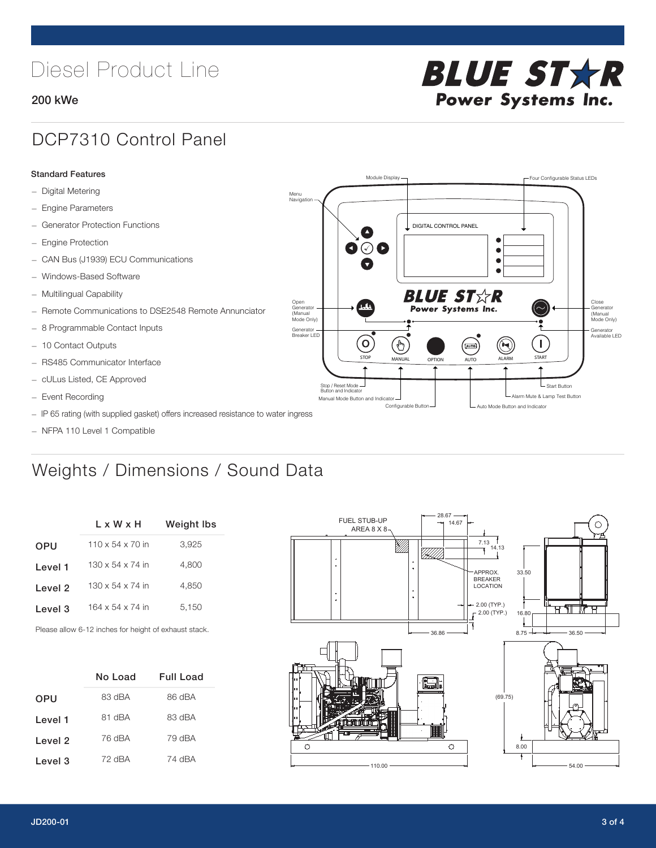# Diesel Product Line

#### 200 kWe



### DCP7310 Control Panel

#### Standard Features

- Digital Metering
- Engine Parameters
- Generator Protection Functions
- Engine Protection
- CAN Bus (J1939) ECU Communications
- Windows-Based Software
- Multilingual Capability
- Remote Communications to DSE2548 Remote Annunciator
- 8 Programmable Contact Inputs
- 10 Contact Outputs
- RS485 Communicator Interface
- cULus Listed, CE Approved
- Event Recording
- IP 65 rating (with supplied gasket) offers increased resistance to water ingress
- NFPA 110 Level 1 Compatible

### Weights / Dimensions / Sound Data

|            | L x W x H                    | Weight Ibs |  |  |
|------------|------------------------------|------------|--|--|
| <b>OPU</b> | $110 \times 54 \times 70$ in | 3,925      |  |  |
| Level 1    | $130 \times 54 \times 74$ in | 4.800      |  |  |
| Level 2    | $130 \times 54 \times 74$ in | 4.850      |  |  |
| Level 3    | 164 x 54 x 74 in             | 5.150      |  |  |
|            |                              |            |  |  |

Please allow 6-12 inches for height of exhaust stack.

|            | No Load | <b>Full Load</b> |
|------------|---------|------------------|
| <b>OPU</b> | 83 dBA  | 86 dBA           |
| Level 1    | 81 dBA  | 83 dBA           |
| Level 2    | 76 dBA  | 79 dBA           |
| Level 3    | 72 dBA  | 74 dBA           |



STOP MANUAL OPTION AUTO ALARM START

[AUTO]

**BLUE STAR** Power Systems Inc.

Manual Mode Button and Indicator United States and Indicator United States and Indicator United States and Indicator United States and Indicator United States and Indicator United States and Indicator United States and Ind Configurable Button -  $\Box$  Auto Mode Button and Indicator

DIGITAL CONTROL PANEL

Module Display  $\Box$ 

 $\bullet$  $\bullet$  $\bullet$ 

 $\circledcirc$ 

Menu Navigation

Open Generator (Manual Mode Only)

Generator Breaker LED

Stop / Reset Mode Button and Indicator

 $\bullet$  $\bullet$   $\circ$   $\bullet$ 

 $\sigma$ 

՟Պ

Close Generator (Manual Mode Only)

Generator Available LED

L Start Button

 $\blacksquare$